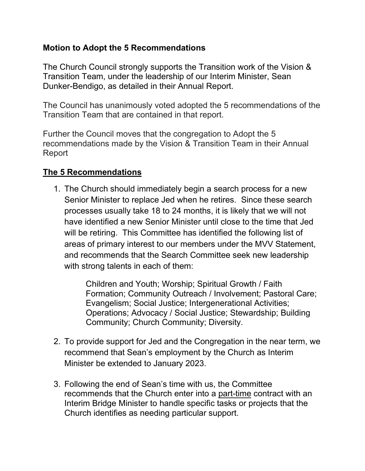## **Motion to Adopt the 5 Recommendations**

The Church Council strongly supports the Transition work of the Vision & Transition Team, under the leadership of our Interim Minister, Sean Dunker-Bendigo, as detailed in their Annual Report.

The Council has unanimously voted adopted the 5 recommendations of the Transition Team that are contained in that report.

Further the Council moves that the congregation to Adopt the 5 recommendations made by the Vision & Transition Team in their Annual Report

## **The 5 Recommendations**

1. The Church should immediately begin a search process for a new Senior Minister to replace Jed when he retires. Since these search processes usually take 18 to 24 months, it is likely that we will not have identified a new Senior Minister until close to the time that Jed will be retiring. This Committee has identified the following list of areas of primary interest to our members under the MVV Statement, and recommends that the Search Committee seek new leadership with strong talents in each of them:

> Children and Youth; Worship; Spiritual Growth / Faith Formation; Community Outreach / Involvement; Pastoral Care; Evangelism; Social Justice; Intergenerational Activities; Operations; Advocacy / Social Justice; Stewardship; Building Community; Church Community; Diversity.

- 2. To provide support for Jed and the Congregation in the near term, we recommend that Sean's employment by the Church as Interim Minister be extended to January 2023.
- 3. Following the end of Sean's time with us, the Committee recommends that the Church enter into a part-time contract with an Interim Bridge Minister to handle specific tasks or projects that the Church identifies as needing particular support.